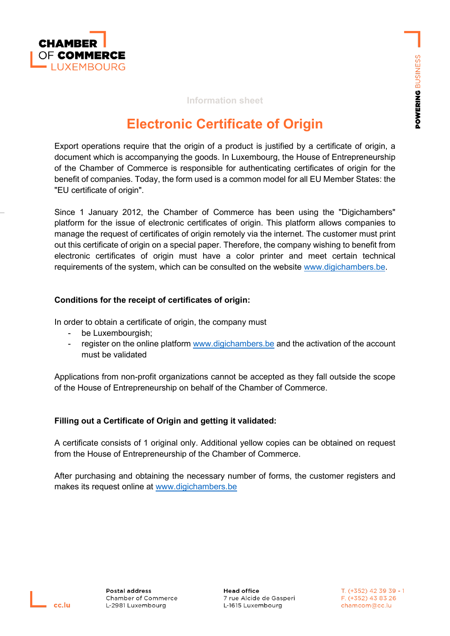

#### **Information sheet**

# **Electronic Certificate of Origin**

Export operations require that the origin of a product is justified by a certificate of origin, a document which is accompanying the goods. In Luxembourg, the House of Entrepreneurship of the Chamber of Commerce is responsible for authenticating certificates of origin for the benefit of companies. Today, the form used is a common model for all EU Member States: the "EU certificate of origin".

Since 1 January 2012, the Chamber of Commerce has been using the "Digichambers" platform for the issue of electronic certificates of origin. This platform allows companies to manage the request of certificates of origin remotely via the internet. The customer must print out this certificate of origin on a special paper. Therefore, the company wishing to benefit from electronic certificates of origin must have a color printer and meet certain technical requirements of the system, which can be consulted on the website [www.digichambers.be.](http://www.digichambers.be/)

#### **Conditions for the receipt of certificates of origin:**

In order to obtain a certificate of origin, the company must

- be Luxembourgish;
- register on the online platform [www.digichambers.be](www.digichambers.be%20) and the activation of the account must be validated

Applications from non-profit organizations cannot be accepted as they fall outside the scope of the House of Entrepreneurship on behalf of the Chamber of Commerce.

## **Filling out a Certificate of Origin and getting it validated:**

A certificate consists of 1 original only. Additional yellow copies can be obtained on request from the House of Entrepreneurship of the Chamber of Commerce.

After purchasing and obtaining the necessary number of forms, the customer registers and makes its request online at [www.digichambers.be](http://www.digichambers.be/)